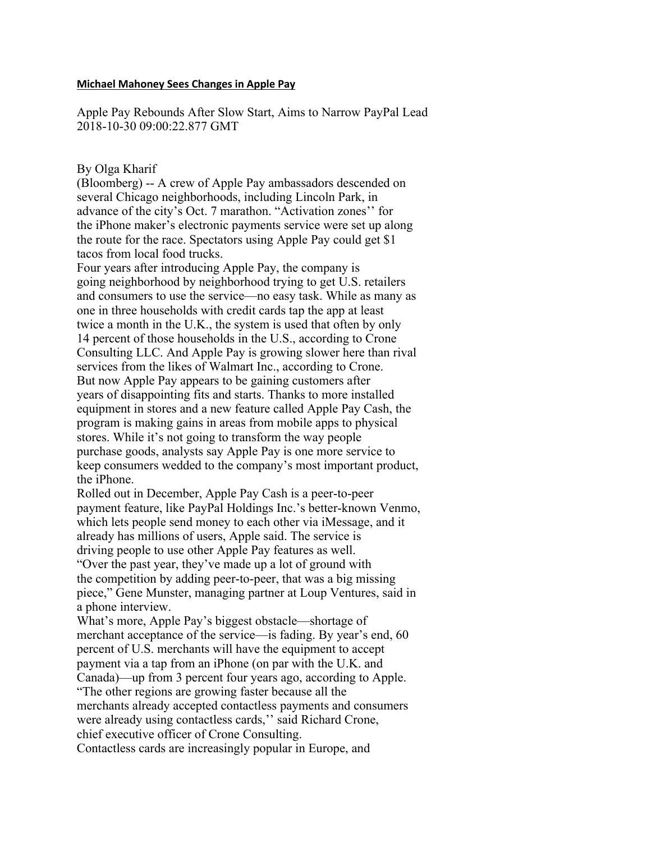## **Michael Mahoney Sees Changes in Apple Pay**

Apple Pay Rebounds After Slow Start, Aims to Narrow PayPal Lead 2018-10-30 09:00:22.877 GMT

## By Olga Kharif

(Bloomberg) -- A crew of Apple Pay ambassadors descended on several Chicago neighborhoods, including Lincoln Park, in advance of the city's Oct. 7 marathon. "Activation zones'' for the iPhone maker's electronic payments service were set up along the route for the race. Spectators using Apple Pay could get \$1 tacos from local food trucks.

Four years after introducing Apple Pay, the company is going neighborhood by neighborhood trying to get U.S. retailers and consumers to use the service—no easy task. While as many as one in three households with credit cards tap the app at least twice a month in the U.K., the system is used that often by only 14 percent of those households in the U.S., according to Crone Consulting LLC. And Apple Pay is growing slower here than rival services from the likes of Walmart Inc., according to Crone. But now Apple Pay appears to be gaining customers after years of disappointing fits and starts. Thanks to more installed equipment in stores and a new feature called Apple Pay Cash, the program is making gains in areas from mobile apps to physical stores. While it's not going to transform the way people purchase goods, analysts say Apple Pay is one more service to keep consumers wedded to the company's most important product, the iPhone.

Rolled out in December, Apple Pay Cash is a peer-to-peer payment feature, like PayPal Holdings Inc.'s better-known Venmo, which lets people send money to each other via iMessage, and it already has millions of users, Apple said. The service is driving people to use other Apple Pay features as well. "Over the past year, they've made up a lot of ground with the competition by adding peer-to-peer, that was a big missing piece," Gene Munster, managing partner at Loup Ventures, said in a phone interview.

What's more, Apple Pay's biggest obstacle—shortage of merchant acceptance of the service—is fading. By year's end, 60 percent of U.S. merchants will have the equipment to accept payment via a tap from an iPhone (on par with the U.K. and Canada)—up from 3 percent four years ago, according to Apple. "The other regions are growing faster because all the merchants already accepted contactless payments and consumers were already using contactless cards,'' said Richard Crone, chief executive officer of Crone Consulting. Contactless cards are increasingly popular in Europe, and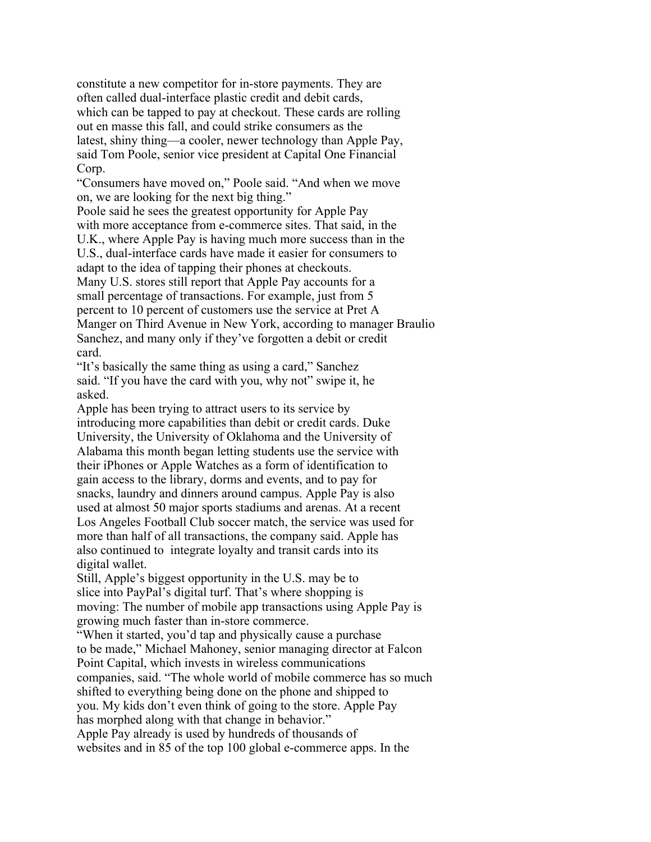constitute a new competitor for in-store payments. They are often called dual-interface plastic credit and debit cards, which can be tapped to pay at checkout. These cards are rolling out en masse this fall, and could strike consumers as the latest, shiny thing—a cooler, newer technology than Apple Pay, said Tom Poole, senior vice president at Capital One Financial Corp.

"Consumers have moved on," Poole said. "And when we move on, we are looking for the next big thing."

Poole said he sees the greatest opportunity for Apple Pay with more acceptance from e-commerce sites. That said, in the U.K., where Apple Pay is having much more success than in the U.S., dual-interface cards have made it easier for consumers to adapt to the idea of tapping their phones at checkouts. Many U.S. stores still report that Apple Pay accounts for a small percentage of transactions. For example, just from 5 percent to 10 percent of customers use the service at Pret A Manger on Third Avenue in New York, according to manager Braulio Sanchez, and many only if they've forgotten a debit or credit card.

"It's basically the same thing as using a card," Sanchez said. "If you have the card with you, why not" swipe it, he asked.

Apple has been trying to attract users to its service by introducing more capabilities than debit or credit cards. Duke University, the University of Oklahoma and the University of Alabama this month began letting students use the service with their iPhones or Apple Watches as a form of identification to gain access to the library, dorms and events, and to pay for snacks, laundry and dinners around campus. Apple Pay is also used at almost 50 major sports stadiums and arenas. At a recent Los Angeles Football Club soccer match, the service was used for more than half of all transactions, the company said. Apple has also continued to integrate loyalty and transit cards into its digital wallet.

Still, Apple's biggest opportunity in the U.S. may be to slice into PayPal's digital turf. That's where shopping is moving: The number of mobile app transactions using Apple Pay is growing much faster than in-store commerce.

"When it started, you'd tap and physically cause a purchase to be made," Michael Mahoney, senior managing director at Falcon Point Capital, which invests in wireless communications companies, said. "The whole world of mobile commerce has so much shifted to everything being done on the phone and shipped to you. My kids don't even think of going to the store. Apple Pay has morphed along with that change in behavior." Apple Pay already is used by hundreds of thousands of websites and in 85 of the top 100 global e-commerce apps. In the